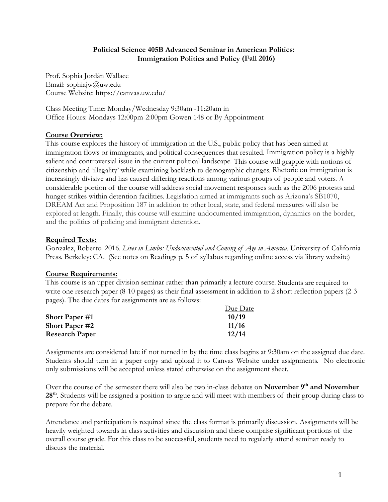#### **Political Science 405B Advanced Seminar in American Politics: Immigration Politics and Policy (Fall 2016)**

Prof. Sophia Jordán Wallace Email: sophiajw@uw.edu Course Website: https://canvas.uw.edu/

Class Meeting Time: Monday/Wednesday 9:30am -11:20am in Office Hours: Mondays 12:00pm-2:00pm Gowen 148 or By Appointment

#### **Course Overview:**

This course explores the history of immigration in the U.S., public policy that has been aimed at immigration flows or immigrants, and political consequences that resulted. Immigration policy is a highly salient and controversial issue in the current political landscape. This course will grapple with notions of citizenship and 'illegality' while examining backlash to demographic changes. Rhetoric on immigration is increasingly divisive and has caused differing reactions among various groups of people and voters. A considerable portion of the course will address social movement responses such as the 2006 protests and hunger strikes within detention facilities. Legislation aimed at immigrants such as Arizona's SB1070, DREAM Act and Proposition 187 in addition to other local, state, and federal measures will also be explored at length. Finally, this course will examine undocumented immigration, dynamics on the border, and the politics of policing and immigrant detention.

#### **Required Texts:**

Gonzalez, Roberto. 2016. *Lives in Limbo: Undocumented and Coming of Age in America*. University of California Press. Berkeley: CA. (See notes on Readings p. 5 of syllabus regarding online access via library website)

## **Course Requirements:**

This course is an upper division seminar rather than primarily a lecture course. Students are required to write one research paper (8-10 pages) as their final assessment in addition to 2 short reflection papers (2-3 pages). The due dates for assignments are as follows:

|                       | Due Date |
|-----------------------|----------|
| <b>Short Paper</b> #1 | 10/19    |
| <b>Short Paper #2</b> | 11/16    |
| <b>Research Paper</b> | 12/14    |

Assignments are considered late if not turned in by the time class begins at 9:30am on the assigned due date. Students should turn in a paper copy and upload it to Canvas Website under assignments. No electronic only submissions will be accepted unless stated otherwise on the assignment sheet.

Over the course of the semester there will also be two in-class debates on **November 9th and November 28th**. Students will be assigned a position to argue and will meet with members of their group during class to prepare for the debate.

Attendance and participation is required since the class format is primarily discussion. Assignments will be heavily weighted towards in class activities and discussion and these comprise significant portions of the overall course grade. For this class to be successful, students need to regularly attend seminar ready to discuss the material.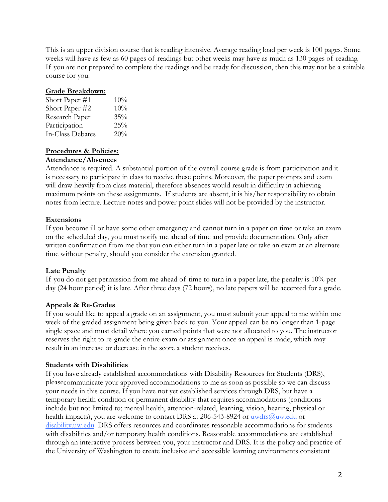This is an upper division course that is reading intensive. Average reading load per week is 100 pages. Some weeks will have as few as 60 pages of readings but other weeks may have as much as 130 pages of reading. If you are not prepared to complete the readings and be ready for discussion, then this may not be a suitable course for you.

#### **Grade Breakdown:**

| Short Paper #1   | 10% |
|------------------|-----|
| Short Paper #2   | 10% |
| Research Paper   | 35% |
| Participation    | 25% |
| In-Class Debates | 20% |

#### **Procedures & Policies:**

#### **Attendance/Absences**

Attendance is required. A substantial portion of the overall course grade is from participation and it is necessary to participate in class to receive these points. Moreover, the paper prompts and exam will draw heavily from class material, therefore absences would result in difficulty in achieving maximum points on these assignments. If students are absent, it is his/her responsibility to obtain notes from lecture. Lecture notes and power point slides will not be provided by the instructor.

#### **Extensions**

If you become ill or have some other emergency and cannot turn in a paper on time or take an exam on the scheduled day, you must notify me ahead of time and provide documentation. Only after written confirmation from me that you can either turn in a paper late or take an exam at an alternate time without penalty, should you consider the extension granted.

#### **Late Penalty**

If you do not get permission from me ahead of time to turn in a paper late, the penalty is 10% per day (24 hour period) it is late. After three days (72 hours), no late papers will be accepted for a grade.

#### **Appeals & Re-Grades**

If you would like to appeal a grade on an assignment, you must submit your appeal to me within one week of the graded assignment being given back to you. Your appeal can be no longer than 1-page single space and must detail where you earned points that were not allocated to you. The instructor reserves the right to re-grade the entire exam or assignment once an appeal is made, which may result in an increase or decrease in the score a student receives.

#### **Students with Disabilities**

If you have already established accommodations with Disability Resources for Students (DRS), pleasecommunicate your approved accommodations to me as soon as possible so we can discuss your needs in this course. If you have not yet established services through DRS, but have a temporary health condition or permanent disability that requires accommodations (conditions include but not limited to; mental health, attention-related, learning, vision, hearing, physical or health impacts), you are welcome to contact DRS at 206-543-8924 or uwdrs@uw.edu or disability.uw.edu. DRS offers resources and coordinates reasonable accommodations for students with disabilities and/or temporary health conditions. Reasonable accommodations are established through an interactive process between you, your instructor and DRS. It is the policy and practice of the University of Washington to create inclusive and accessible learning environments consistent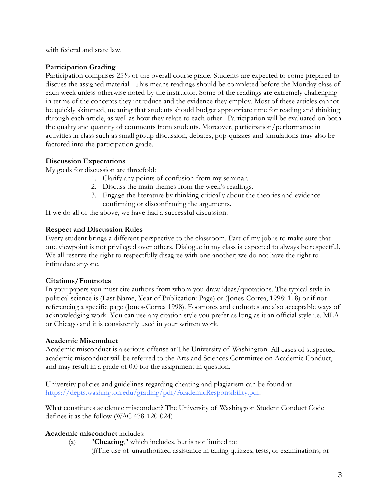with federal and state law.

### **Participation Grading**

Participation comprises 25% of the overall course grade. Students are expected to come prepared to discuss the assigned material. This means readings should be completed before the Monday class of each week unless otherwise noted by the instructor. Some of the readings are extremely challenging in terms of the concepts they introduce and the evidence they employ. Most of these articles cannot be quickly skimmed, meaning that students should budget appropriate time for reading and thinking through each article, as well as how they relate to each other. Participation will be evaluated on both the quality and quantity of comments from students. Moreover, participation/performance in activities in class such as small group discussion, debates, pop-quizzes and simulations may also be factored into the participation grade.

#### **Discussion Expectations**

My goals for discussion are threefold:

- 1. Clarify any points of confusion from my seminar.
- 2. Discuss the main themes from the week's readings.
- 3. Engage the literature by thinking critically about the theories and evidence confirming or disconfirming the arguments.

If we do all of the above, we have had a successful discussion.

#### **Respect and Discussion Rules**

Every student brings a different perspective to the classroom. Part of my job is to make sure that one viewpoint is not privileged over others. Dialogue in my class is expected to always be respectful. We all reserve the right to respectfully disagree with one another; we do not have the right to intimidate anyone.

## **Citations/Footnotes**

In your papers you must cite authors from whom you draw ideas/quotations. The typical style in political science is (Last Name, Year of Publication: Page) or (Jones-Correa, 1998: 118) or if not referencing a specific page (Jones-Correa 1998). Footnotes and endnotes are also acceptable ways of acknowledging work. You can use any citation style you prefer as long as it an official style i.e. MLA or Chicago and it is consistently used in your written work.

#### **Academic Misconduct**

Academic misconduct is a serious offense at The University of Washington. All cases of suspected academic misconduct will be referred to the Arts and Sciences Committee on Academic Conduct, and may result in a grade of 0.0 for the assignment in question.

University policies and guidelines regarding cheating and plagiarism can be found at https://depts.washington.edu/grading/pdf/AcademicResponsibility.pdf.

What constitutes academic misconduct? The University of Washington Student Conduct Code defines it as the follow (WAC 478-120-024)

## **Academic misconduct** includes:

- (a) "**Cheating**," which includes, but is not limited to:
	- (i)The use of unauthorized assistance in taking quizzes, tests, or examinations; or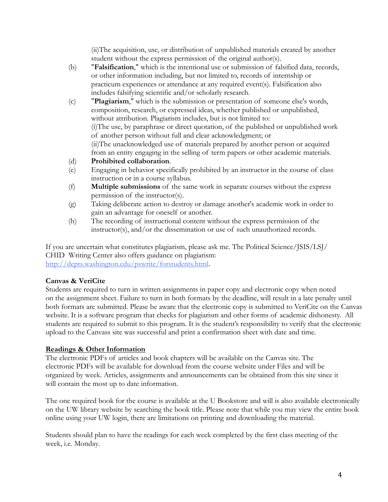(ii)The acquisition, use, or distribution of unpublished materials created by another student without the express permission of the original author(s).

- (b) "**Falsification**," which is the intentional use or submission of falsified data, records, or other information including, but not limited to, records of internship or practicum experiences or attendance at any required event(s). Falsification also includes falsifying scientific and/or scholarly research.
- (c) "**Plagiarism**," which is the submission or presentation of someone else's words, composition, research, or expressed ideas, whether published or unpublished, without attribution. Plagiarism includes, but is not limited to: (i)The use, by paraphrase or direct quotation, of the published or unpublished work of another person without full and clear acknowledgment; or (ii)The unacknowledged use of materials prepared by another person or acquired from an entity engaging in the selling of term papers or other academic materials.
- (d) **Prohibited collaboration**.
- (e) Engaging in behavior specifically prohibited by an instructor in the course of class instruction or in a course syllabus.
- (f) **Multiple submissions** of the same work in separate courses without the express permission of the instructor(s).
- (g) Taking deliberate action to destroy or damage another's academic work in order to gain an advantage for oneself or another.
- (h) The recording of instructional content without the express permission of the instructor(s), and/or the dissemination or use of such unauthorized records.

If you are uncertain what constitutes plagiarism, please ask me. The Political Science/JSIS/LSJ/ CHID Writing Center also offers guidance on plagiarism: http://depts.washington.edu/pswrite/forstudents.html.

## **Canvas & VeriCite**

Students are required to turn in written assignments in paper copy and electronic copy when noted on the assignment sheet. Failure to turn in both formats by the deadline, will result in a late penalty until both formats are submitted. Please be aware that the electronic copy is submitted to VeriCite on the Canvas website. It is a software program that checks for plagiarism and other forms of academic dishonesty. All students are required to submit to this program. It is the student's responsibility to verify that the electronic upload to the Canvass site was successful and print a confirmation sheet with date and time.

## **Readings & Other Information**

The electronic PDFs of articles and book chapters will be available on the Canvas site. The electronic PDFs will be available for download from the course website under Files and will be organized by week. Articles, assignments and announcements can be obtained from this site since it will contain the most up to date information.

The one required book for the course is available at the U Bookstore and will is also available electronically on the UW library website by searching the book title. Please note that while you may view the entire book online using your UW login, there are limitations on printing and downloading the material.

Students should plan to have the readings for each week completed by the first class meeting of the week, i.e. Monday.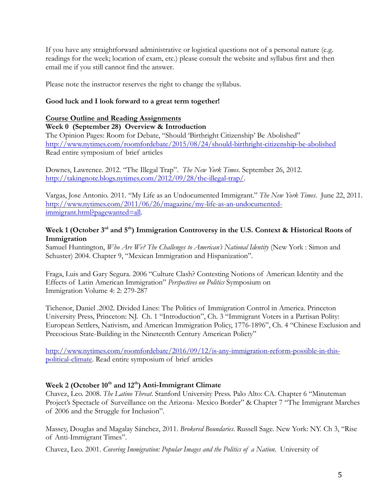If you have any straightforward administrative or logistical questions not of a personal nature (e.g. readings for the week; location of exam, etc.) please consult the website and syllabus first and then email me if you still cannot find the answer.

Please note the instructor reserves the right to change the syllabus.

## **Good luck and I look forward to a great term together!**

#### **Course Outline and Reading Assignments**

**Week 0 (September 28) Overview & Introduction**

The Opinion Pages: Room for Debate, "Should 'Birthright Citizenship' Be Abolished" http://www.nytimes.com/roomfordebate/2015/08/24/should-birthright-citizenship-be-abolished Read entire symposium of brief articles

Downes, Lawrence. 2012. "The Illegal Trap". *The New York Times*. September 26, 2012. http://takingnote.blogs.nytimes.com/2012/09/28/the-illegal-trap/.

Vargas, Jose Antonio. 2011. "My Life as an Undocumented Immigrant." *The New York Times*. June 22, 2011. http://www.nytimes.com/2011/06/26/magazine/my-life-as-an-undocumentedimmigrant.html?pagewanted=all.

## Week 1 **(October 3<sup>rd</sup> and 5<sup>th</sup>) Immigration Controversy in the U.S. Context & Historical Roots of Immigration**

Samuel Huntington, *Who Are We? The Challenges to American's National Identity* (New York : Simon and Schuster) 2004. Chapter 9, "Mexican Immigration and Hispanization".

Fraga, Luis and Gary Segura. 2006 "Culture Clash? Contesting Notions of American Identity and the Effects of Latin American Immigration" *Perspectives on Politics* Symposium on Immigration Volume 4: 2: 279-287

Tichenor, Daniel .2002. Divided Lines: The Politics of Immigration Control in America. Princeton University Press, Princeton: NJ. Ch. 1 "Introduction", Ch. 3 "Immigrant Voters in a Partisan Polity: European Settlers, Nativism, and American Immigration Policy, 1776-1896", Ch. 4 "Chinese Exclusion and Precocious State-Building in the Nineteenth Century American Policty"

http://www.nytimes.com/roomfordebate/2016/09/12/is-any-immigration-reform-possible-in-thispolitical-climate. Read entire symposium of brief articles

# Week 2 (October 10<sup>th</sup> and 12<sup>th</sup>) Anti-Immigrant Climate

Chavez, Leo. 2008. *The Latino Threat*. Stanford University Press. Palo Alto: CA. Chapter 6 "Minuteman Project's Spectacle of Surveillance on the Arizona- Mexico Border" & Chapter 7 "The Immigrant Marches of 2006 and the Struggle for Inclusion".

Massey, Douglas and Magalay Sánchez, 2011. *Brokered Boundaries*. Russell Sage. New York: NY. Ch 3, "Rise of Anti-Immigrant Times".

Chavez, Leo. 2001. *Covering Immigration: Popular Images and the Politics of a Nation*. University of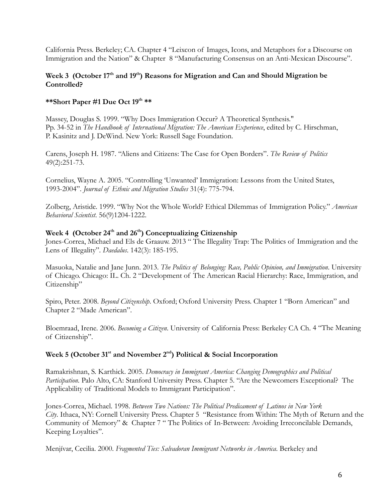California Press. Berkeley; CA. Chapter 4 "Leixcon of Images, Icons, and Metaphors for a Discourse on Immigration and the Nation" & Chapter 8 "Manufacturing Consensus on an Anti-Mexican Discourse".

#### Week 3 (October 17<sup>th</sup> and 19<sup>th</sup>) Reasons for Migration and Can and Should Migration be **Controlled?**

#### **\*\*Short Paper #1 Due Oct 19th \*\***

Massey, Douglas S. 1999. "Why Does Immigration Occur? A Theoretical Synthesis." Pp. 34-52 in *The Handbook of International Migration: The American Experience*, edited by C. Hirschman, P. Kasinitz and J. DeWind. New York: Russell Sage Foundation.

Carens, Joseph H. 1987. "Aliens and Citizens: The Case for Open Borders". *The Review of Politics* 49(2):251-73.

Cornelius, Wayne A. 2005. "Controlling 'Unwanted' Immigration: Lessons from the United States, 1993-2004". *Journal of Ethnic and Migration Studies* 31(4): 775-794.

Zolberg, Aristide. 1999. "Why Not the Whole World? Ethical Dilemmas of Immigration Policy." *American Behavioral Scientist*. 56(9)1204-1222.

# Week 4 (October 24<sup>th</sup> and 26<sup>th</sup>) Conceptualizing Citizenship

Jones-Correa, Michael and Els de Graauw. 2013 " The Illegality Trap: The Politics of Immigration and the Lens of Illegality". *Daedalus*. 142(3): 185-195.

Masuoka, Natalie and Jane Junn. 2013. *The Politics of Belonging: Race, Public Opinion, and Immigration*. University of Chicago. Chicago: IL. Ch. 2 "Development of The American Racial Hierarchy: Race, Immigration, and Citizenship"

Spiro, Peter. 2008. *Beyond Citizenship*. Oxford; Oxford University Press. Chapter 1 "Born American" and Chapter 2 "Made American".

Bloemraad, Irene. 2006. *Becoming a Citizen*. University of California Press: Berkeley CA Ch. 4 "The Meaning of Citizenship".

### Week 5 (October 31<sup>st</sup> and November 2<sup>nd</sup>) Political & Social Incorporation

Ramakrishnan, S. Karthick. 2005. *Democracy in Immigrant America: Changing Demographics and Political Participation*. Palo Alto, CA: Stanford University Press. Chapter 5. "Are the Newcomers Exceptional? The Applicability of Traditional Models to Immigrant Participation".

Jones-Correa, Michael. 1998. *Between Two Nations: The Political Predicament of Latinos in New York City*. Ithaca, NY: Cornell University Press. Chapter 5 "Resistance from Within: The Myth of Return and the Community of Memory" & Chapter 7 " The Politics of In-Between: Avoiding Irreconcilable Demands, Keeping Loyalties".

Menjívar, Cecilia. 2000. *Fragmented Ties: Salvadoran Immigrant Networks in America*. Berkeley and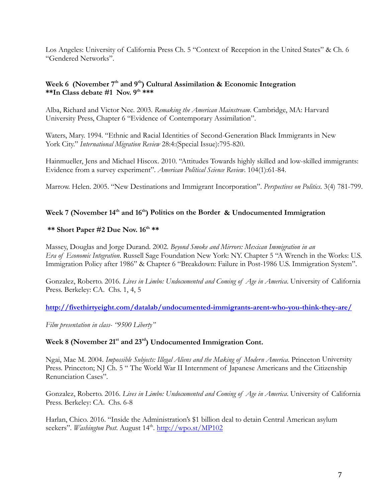Los Angeles: University of California Press Ch. 5 "Context of Reception in the United States" & Ch. 6 "Gendered Networks".

#### Week 6 (November 7<sup>th</sup> and 9<sup>th</sup>) Cultural Assimilation & Economic Integration **\*\*In Class debate #1 Nov. 9th \*\*\***

Alba, Richard and Victor Nee. 2003. *Remaking the American Mainstream*. Cambridge, MA: Harvard University Press, Chapter 6 "Evidence of Contemporary Assimilation".

Waters, Mary. 1994. "Ethnic and Racial Identities of Second-Generation Black Immigrants in New York City." *International Migration Review* 28:4:(Special Issue):795-820.

Hainmueller, Jens and Michael Hiscox. 2010. "Attitudes Towards highly skilled and low-skilled immigrants: Evidence from a survey experiment". *American Political Science Review*. 104(1):61-84.

Marrow. Helen. 2005. "New Destinations and Immigrant Incorporation". *Perspectives on Politics*. 3(4) 781-799.

## Week 7 (November 14<sup>th</sup> and 16<sup>th</sup>) Politics on the Border & Undocumented Immigration

#### **\*\*** Short Paper #2 Due Nov.  $16^{th}$  \*\*

Massey, Douglas and Jorge Durand. 2002. *Beyond Smoke and Mirrors: Mexican Immigration in an Era of Economic Integration*. Russell Sage Foundation New York: NY. Chapter 5 "A Wrench in the Works: U.S. Immigration Policy after 1986" & Chapter 6 "Breakdown: Failure in Post-1986 U.S. Immigration System".

Gonzalez, Roberto. 2016. *Lives in Limbo: Undocumented and Coming of Age in America*. University of California Press. Berkeley: CA. Chs. 1, 4, 5

**http://fivethirtyeight.com/datalab/undocumented-immigrants-arent-who-you-think-they-are/**

*Film presentation in class- "9500 Liberty"*

#### **Week 8 (November 21st and 23rd) Undocumented Immigration Cont.**

Ngai, Mae M. 2004. *Impossible Subjects: Illegal Aliens and the Making of Modern America*. Princeton University Press. Princeton; NJ Ch. 5 "The World War II Internment of Japanese Americans and the Citizenship Renunciation Cases".

Gonzalez, Roberto. 2016. *Lives in Limbo: Undocumented and Coming of Age in America*. University of California Press. Berkeley: CA. Chs. 6-8

Harlan, Chico. 2016. "Inside the Administration's \$1 billion deal to detain Central American asylum seekers". *Washington Post*. August 14<sup>th</sup>. http://wpo.st/MP102